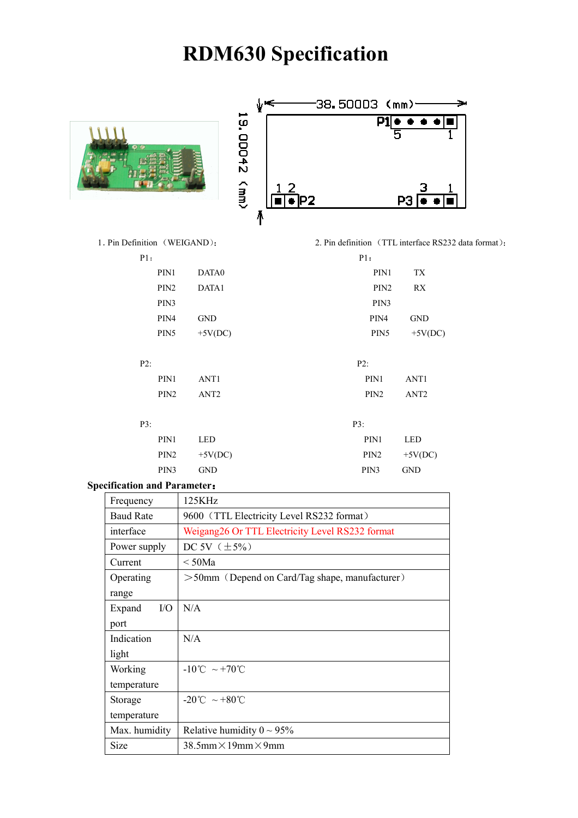# RDM630 Specification



|                          |           | 38.500D3 (mm)         |  |
|--------------------------|-----------|-----------------------|--|
| 19.<br>Z+00D             |           | P<br>$\bullet\bullet$ |  |
| $\widetilde{\mathsf{g}}$ | 12<br>IP2 | PЗ                    |  |

1. Pin Definition (WEIGAND): 2. Pin definition (TTL interface RS232 data format):

| P1:              |                  |                  | P1:              |                  |
|------------------|------------------|------------------|------------------|------------------|
| PIN1             |                  | DATA0            | PIN1             | TX               |
| PIN <sub>2</sub> |                  | DATA1            | PIN <sub>2</sub> | RX               |
| PIN3             |                  |                  | PIN3             |                  |
| PIN4             |                  | <b>GND</b>       | PIN4             | <b>GND</b>       |
| PIN <sub>5</sub> |                  | $+5V(DC)$        | PIN <sub>5</sub> | $+5V(DC)$        |
|                  |                  |                  |                  |                  |
| P2:              |                  |                  | $P2$ :           |                  |
|                  | PIN1             | ANT1             | PIN1             | ANT1             |
|                  | PIN <sub>2</sub> | ANT <sub>2</sub> | PIN <sub>2</sub> | ANT <sub>2</sub> |
|                  |                  |                  |                  |                  |
| P3:              |                  |                  | P3:              |                  |
|                  | PIN1             | <b>LED</b>       | PIN1             | <b>LED</b>       |
|                  | PIN <sub>2</sub> | $+5V(DC)$        | PIN <sub>2</sub> | $+5V(DC)$        |
|                  | PIN3             | <b>GND</b>       | PIN3             | <b>GND</b>       |
|                  |                  |                  |                  |                  |

#### Specification and Parameter:

| Frequency        | 125KHz                                            |
|------------------|---------------------------------------------------|
| <b>Baud Rate</b> | 9600 (TTL Electricity Level RS232 format)         |
| interface        | Weigang 26 Or TTL Electricity Level RS232 format  |
| Power supply     | DC 5V $(\pm 5\%)$                                 |
| Current          | $\rm < 50Ma$                                      |
| Operating        | $>50$ mm (Depend on Card/Tag shape, manufacturer) |
| range            |                                                   |
| $VO$<br>Expand   | N/A                                               |
| port             |                                                   |
| Indication       | N/A                                               |
| light            |                                                   |
| Working          | $-10^{\circ}$ C ~ +70 <sup>°</sup> C              |
| temperature      |                                                   |
| Storage          | $-20^{\circ}$ C ~ +80 <sup>°</sup> C              |
| temperature      |                                                   |
| Max. humidity    | Relative humidity $0 \sim 95\%$                   |
| <b>Size</b>      | $38.5$ mm $\times$ 19mm $\times$ 9mm              |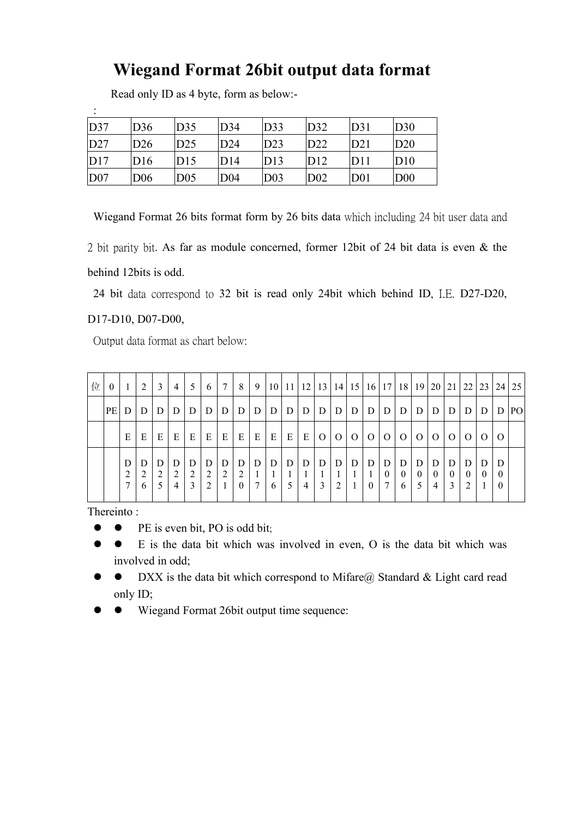# Wiegand Format 26bit output data format

Read only ID as 4 byte, form as below:-

| D37             | D36             | D35             | D34             | D33             | D32             | D31             | D30             |
|-----------------|-----------------|-----------------|-----------------|-----------------|-----------------|-----------------|-----------------|
| D27             | D26             | D25             | D24             | D23             | D22             | D21             | D20             |
| D17             | D16             | D15             | D14             | D13             | D12             | D11             | D10             |
| D <sub>07</sub> | D <sub>06</sub> | D <sub>05</sub> | D <sub>04</sub> | D <sub>03</sub> | D <sub>02</sub> | D <sub>01</sub> | D <sub>00</sub> |

Wiegand Format 26 bits format form by 26 bits data which including 24 bit user data and

2 bit parity bit. As far as module concerned, former 12bit of 24 bit data is even & the behind 12bits is odd.

24 bit data correspond to 32 bit is read only 24bit which behind ID, I.E. D27-D20,

#### D17-D10, D07-D00,

:

Output data format as chart below:

| 位 | $\mathbf{0}$ |   | 2      | 3      | $\overline{4}$ | .5          | 6      | 7      | 8                  | 9                 |        |   |                     |                |                |          | 10   11   12   13   14   15   16   17   18 |                    |                    | 19 <sup>1</sup> |                    | $20 \mid 21 \mid 22$ |                    | 23 l       | 24                        | 25  |
|---|--------------|---|--------|--------|----------------|-------------|--------|--------|--------------------|-------------------|--------|---|---------------------|----------------|----------------|----------|--------------------------------------------|--------------------|--------------------|-----------------|--------------------|----------------------|--------------------|------------|---------------------------|-----|
|   | PE D         |   | D      | D      | $\mathsf{D}$   | D           | D      | D      | $\mathsf{D}$       | $\mathsf{D}$      | D      | D | D                   | l D            | D              | D        | D                                          | D                  | D                  | $\mathbf{D}$    | D                  | D                    | D                  | Ð          | D                         | PO. |
|   |              | E | E      | E      | E              | E           | E      | E      | E                  | E                 | E      | E | E                   | $\overline{O}$ | $\overline{O}$ | $\Omega$ | $\overline{O}$                             | $\overline{O}$     | $\Omega$           | $\Omega$        | $\Omega$           | $\Omega$             | $\Omega$           | $\left($ ) | $\Omega$                  |     |
|   |              |   | 2<br>6 | D<br>2 | D<br>2<br>4    | D<br>↑<br>3 | D<br>2 | D<br>2 | D<br>2<br>$\theta$ | D<br>$\mathbf{r}$ | D<br>6 | D | D<br>$\overline{4}$ | D<br>3         | D<br>2         | D        | D<br>$\theta$                              | D<br>$\theta$<br>7 | D<br>$\theta$<br>6 | D<br>$\theta$   | D<br>$\theta$<br>4 | D<br>$\Omega$<br>3   | D<br>$\theta$<br>2 |            | D<br>$\theta$<br>$\theta$ |     |

Thereinto :

- PE is even bit, PO is odd bit:
- E is the data bit which was involved in even, O is the data bit which was involved in odd;
- DXX is the data bit which correspond to Mifare@ Standard & Light card read only ID;
- Wiegand Format 26bit output time sequence: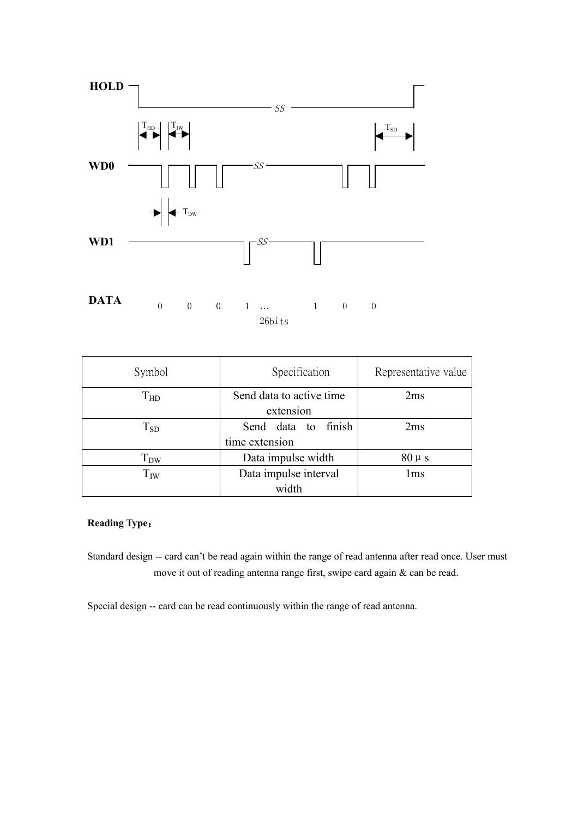

| Symbol   | Specification            | Representative value |
|----------|--------------------------|----------------------|
| $T_{HD}$ | Send data to active time | 2ms                  |
|          | extension                |                      |
| $T_{SD}$ | Send data to<br>finish   | 2ms                  |
|          | time extension           |                      |
| $T_{DW}$ | Data impulse width       | $80 \mu s$           |
| $T_{IW}$ | Data impulse interval    | 1 <sub>ms</sub>      |
|          | width                    |                      |

### Reading Type:

Standard design -- card can't be read again within the range of read antenna after read once. User must move it out of reading antenna range first, swipe card again & can be read.

Special design -- card can be read continuously within the range of read antenna.